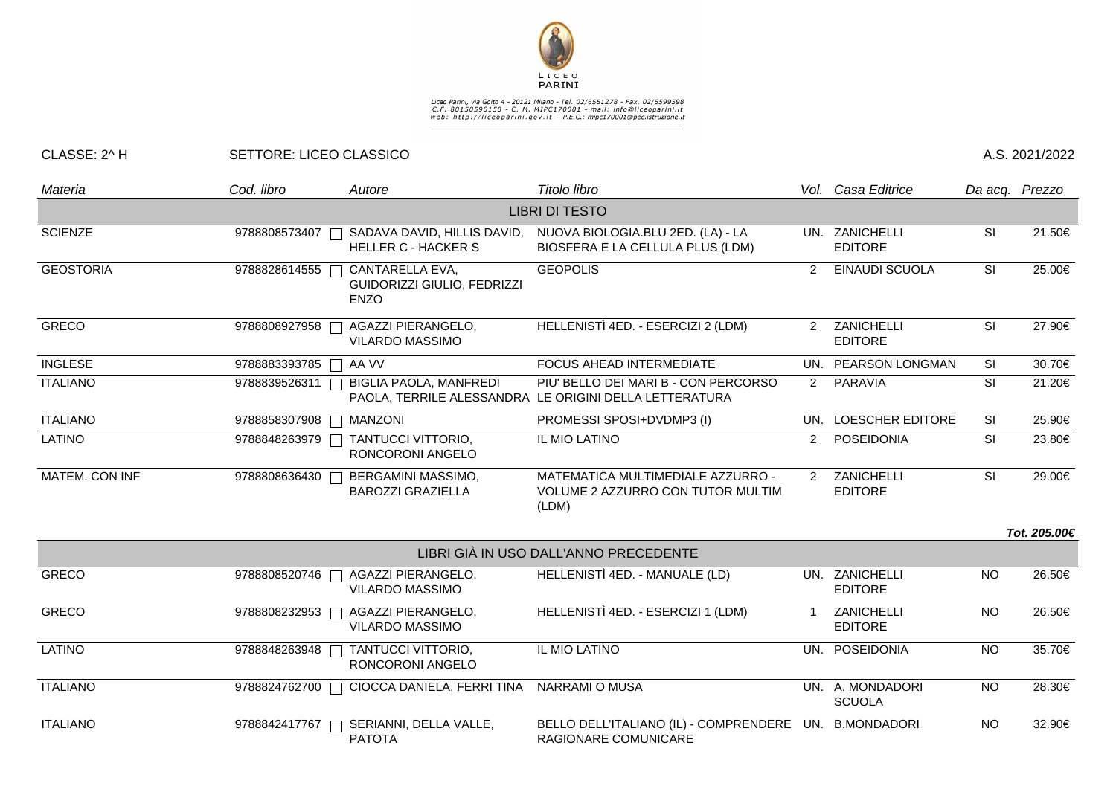

## Liceo Parini, via Goito 4 - 20121 Milano - Tel. 02/6551278 - Fax. 02/6599598<br>C.F. 80150590158 - C. M. MIPC170001 - mail: info@liceoparini.it<br>web: http://liceoparini.gov.it - P.E.C.: mipc170001@pec.istruzione.it

## CLASSE: 2^ H SETTORE: LICEO CLASSICO A.S. 2021/2022

| Materia               | Cod. libro    | Autore                                                        | Titolo libro                                                                    |                | Vol. Casa Editrice                |           | Da acq. Prezzo |  |  |  |  |
|-----------------------|---------------|---------------------------------------------------------------|---------------------------------------------------------------------------------|----------------|-----------------------------------|-----------|----------------|--|--|--|--|
| <b>LIBRI DI TESTO</b> |               |                                                               |                                                                                 |                |                                   |           |                |  |  |  |  |
| <b>SCIENZE</b>        | 9788808573407 | SADAVA DAVID, HILLIS DAVID,<br><b>HELLER C - HACKER S</b>     | NUOVA BIOLOGIA.BLU 2ED. (LA) - LA<br>BIOSFERA E LA CELLULA PLUS (LDM)           |                | UN. ZANICHELLI<br><b>EDITORE</b>  | SI        | 21.50€         |  |  |  |  |
| <b>GEOSTORIA</b>      | 9788828614555 | CANTARELLA EVA,<br>GUIDORIZZI GIULIO, FEDRIZZI<br><b>ENZO</b> | <b>GEOPOLIS</b>                                                                 | 2              | <b>EINAUDI SCUOLA</b>             | SI        | 25.00€         |  |  |  |  |
| <b>GRECO</b>          | 9788808927958 | AGAZZI PIERANGELO,<br><b>VILARDO MASSIMO</b>                  | HELLENISTÌ 4ED. - ESERCIZI 2 (LDM)                                              | $\overline{2}$ | ZANICHELLI<br><b>EDITORE</b>      | SI        | 27.90€         |  |  |  |  |
| <b>INGLESE</b>        | 9788883393785 | AA VV                                                         | FOCUS AHEAD INTERMEDIATE                                                        |                | UN. PEARSON LONGMAN               | SI        | 30.70€         |  |  |  |  |
| <b>ITALIANO</b>       | 9788839526311 | <b>BIGLIA PAOLA, MANFREDI</b><br>PAOLA, TERRILE ALESSANDRA    | PIU' BELLO DEI MARI B - CON PERCORSO<br>LE ORIGINI DELLA LETTERATURA            | $\overline{2}$ | PARAVIA                           | SI        | 21.20€         |  |  |  |  |
| <b>ITALIANO</b>       | 9788858307908 | <b>MANZONI</b>                                                | PROMESSI SPOSI+DVDMP3 (I)                                                       |                | UN. LOESCHER EDITORE              | SI        | 25.90€         |  |  |  |  |
| <b>LATINO</b>         | 9788848263979 | TANTUCCI VITTORIO,<br>RONCORONI ANGELO                        | IL MIO LATINO                                                                   | $\overline{2}$ | POSEIDONIA                        | SI        | 23.80€         |  |  |  |  |
| MATEM. CON INF        | 9788808636430 | BERGAMINI MASSIMO,<br><b>BAROZZI GRAZIELLA</b>                | MATEMATICA MULTIMEDIALE AZZURRO -<br>VOLUME 2 AZZURRO CON TUTOR MULTIM<br>(LDM) | 2              | ZANICHELLI<br><b>EDITORE</b>      | SI        | 29.00€         |  |  |  |  |
|                       |               |                                                               |                                                                                 |                |                                   |           | Tot. 205.00€   |  |  |  |  |
|                       |               |                                                               | LIBRI GIÀ IN USO DALL'ANNO PRECEDENTE                                           |                |                                   |           |                |  |  |  |  |
| <b>GRECO</b>          | 9788808520746 | AGAZZI PIERANGELO,<br>$\Box$<br>VILARDO MASSIMO               | HELLENISTÌ 4ED. - MANUALE (LD)                                                  |                | UN. ZANICHELLI<br><b>EDITORE</b>  | <b>NO</b> | 26.50€         |  |  |  |  |
| <b>GRECO</b>          | 9788808232953 | AGAZZI PIERANGELO,<br><b>VILARDO MASSIMO</b>                  | HELLENISTÌ 4ED. - ESERCIZI 1 (LDM)                                              |                | ZANICHELLI<br><b>EDITORE</b>      | <b>NO</b> | 26.50€         |  |  |  |  |
| <b>LATINO</b>         | 9788848263948 | <b>TANTUCCI VITTORIO,</b><br>RONCORONI ANGELO                 | IL MIO LATINO                                                                   |                | UN. POSEIDONIA                    | <b>NO</b> | 35.70€         |  |  |  |  |
| <b>ITALIANO</b>       | 9788824762700 | CIOCCA DANIELA, FERRI TINA                                    | <b>NARRAMI O MUSA</b>                                                           |                | UN. A. MONDADORI<br><b>SCUOLA</b> | <b>NO</b> | 28.30€         |  |  |  |  |
| <b>ITALIANO</b>       | 9788842417767 | SERIANNI, DELLA VALLE,<br><b>PATOTA</b>                       | BELLO DELL'ITALIANO (IL) - COMPRENDERE<br>RAGIONARE COMUNICARE                  |                | UN. B.MONDADORI                   | <b>NO</b> | 32.90€         |  |  |  |  |